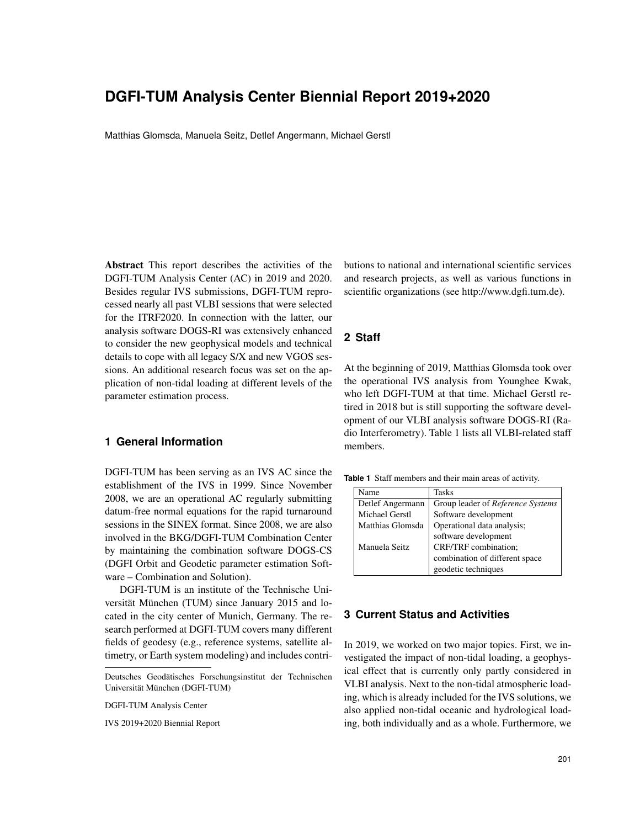# **DGFI-TUM Analysis Center Biennial Report 2019+2020**

Matthias Glomsda, Manuela Seitz, Detlef Angermann, Michael Gerstl

Abstract This report describes the activities of the DGFI-TUM Analysis Center (AC) in 2019 and 2020. Besides regular IVS submissions, DGFI-TUM reprocessed nearly all past VLBI sessions that were selected for the ITRF2020. In connection with the latter, our analysis software DOGS-RI was extensively enhanced to consider the new geophysical models and technical details to cope with all legacy S/X and new VGOS sessions. An additional research focus was set on the application of non-tidal loading at different levels of the parameter estimation process.

# **1 General Information**

DGFI-TUM has been serving as an IVS AC since the establishment of the IVS in 1999. Since November 2008, we are an operational AC regularly submitting datum-free normal equations for the rapid turnaround sessions in the SINEX format. Since 2008, we are also involved in the BKG/DGFI-TUM Combination Center by maintaining the combination software DOGS-CS (DGFI Orbit and Geodetic parameter estimation Software – Combination and Solution).

DGFI-TUM is an institute of the Technische Universität München (TUM) since January 2015 and located in the city center of Munich, Germany. The research performed at DGFI-TUM covers many different fields of geodesy (e.g., reference systems, satellite altimetry, or Earth system modeling) and includes contri-

DGFI-TUM Analysis Center

IVS 2019+2020 Biennial Report

butions to national and international scientific services and research projects, as well as various functions in scientific organizations (see http://www.dgfi.tum.de).

#### **2 Staff**

At the beginning of 2019, Matthias Glomsda took over the operational IVS analysis from Younghee Kwak, who left DGFI-TUM at that time. Michael Gerstl retired in 2018 but is still supporting the software development of our VLBI analysis software DOGS-RI (Radio Interferometry). Table 1 lists all VLBI-related staff members.

**Table 1** Staff members and their main areas of activity.

| Name                  | Tasks                             |
|-----------------------|-----------------------------------|
| Detlef Angermann      | Group leader of Reference Systems |
| <b>Michael Gerstl</b> | Software development              |
| Matthias Glomsda      | Operational data analysis;        |
|                       | software development              |
| Manuela Seitz         | CRF/TRF combination;              |
|                       | combination of different space    |
|                       | geodetic techniques               |

## **3 Current Status and Activities**

In 2019, we worked on two major topics. First, we investigated the impact of non-tidal loading, a geophysical effect that is currently only partly considered in VLBI analysis. Next to the non-tidal atmospheric loading, which is already included for the IVS solutions, we also applied non-tidal oceanic and hydrological loading, both individually and as a whole. Furthermore, we

Deutsches Geodatisches Forschungsinstitut der Technischen ¨ Universität München (DGFI-TUM)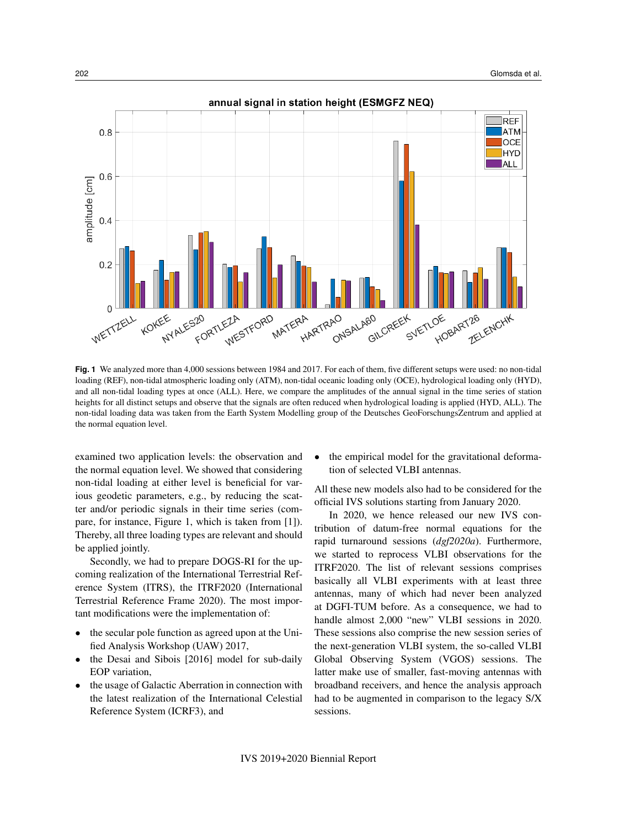

**Fig. 1** We analyzed more than 4,000 sessions between 1984 and 2017. For each of them, five different setups were used: no non-tidal loading (REF), non-tidal atmospheric loading only (ATM), non-tidal oceanic loading only (OCE), hydrological loading only (HYD), and all non-tidal loading types at once (ALL). Here, we compare the amplitudes of the annual signal in the time series of station heights for all distinct setups and observe that the signals are often reduced when hydrological loading is applied (HYD, ALL). The non-tidal loading data was taken from the Earth System Modelling group of the Deutsches GeoForschungsZentrum and applied at the normal equation level.

examined two application levels: the observation and the normal equation level. We showed that considering non-tidal loading at either level is beneficial for various geodetic parameters, e.g., by reducing the scatter and/or periodic signals in their time series (compare, for instance, Figure 1, which is taken from [1]). Thereby, all three loading types are relevant and should be applied jointly.

Secondly, we had to prepare DOGS-RI for the upcoming realization of the International Terrestrial Reference System (ITRS), the ITRF2020 (International Terrestrial Reference Frame 2020). The most important modifications were the implementation of:

- the secular pole function as agreed upon at the Unified Analysis Workshop (UAW) 2017,
- the Desai and Sibois [2016] model for sub-daily EOP variation,
- the usage of Galactic Aberration in connection with the latest realization of the International Celestial Reference System (ICRF3), and

• the empirical model for the gravitational deformation of selected VLBI antennas.

All these new models also had to be considered for the official IVS solutions starting from January 2020.

In 2020, we hence released our new IVS contribution of datum-free normal equations for the rapid turnaround sessions (*dgf2020a*). Furthermore, we started to reprocess VLBI observations for the ITRF2020. The list of relevant sessions comprises basically all VLBI experiments with at least three antennas, many of which had never been analyzed at DGFI-TUM before. As a consequence, we had to handle almost 2,000 "new" VLBI sessions in 2020. These sessions also comprise the new session series of the next-generation VLBI system, the so-called VLBI Global Observing System (VGOS) sessions. The latter make use of smaller, fast-moving antennas with broadband receivers, and hence the analysis approach had to be augmented in comparison to the legacy S/X sessions.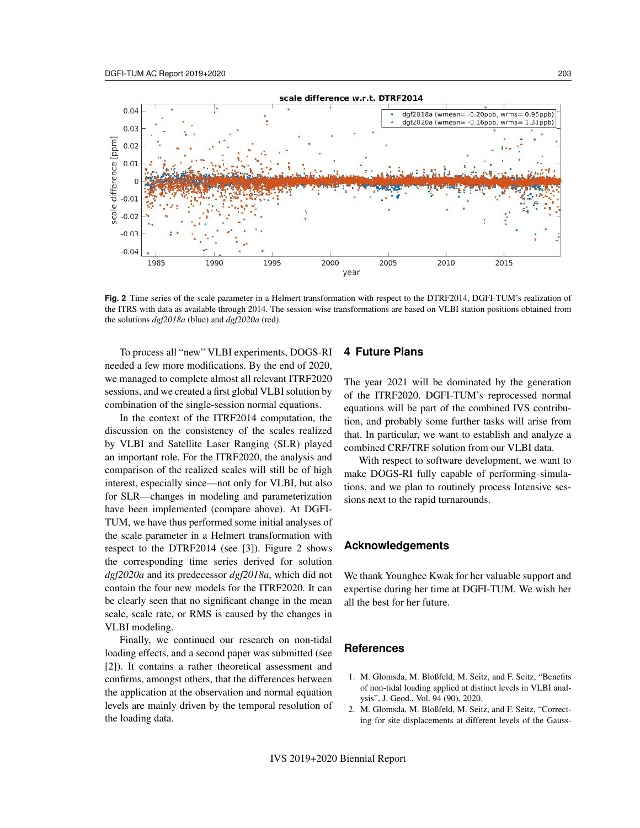

**Fig. 2** Time series of the scale parameter in a Helmert transformation with respect to the DTRF2014, DGFI-TUM's realization of the ITRS with data as available through 2014. The session-wise transformations are based on VLBI station positions obtained from the solutions *dgf2018a* (blue) and *dgf2020a* (red).

To process all "new" VLBI experiments, DOGS-RI needed a few more modifications. By the end of 2020, we managed to complete almost all relevant ITRF2020 sessions, and we created a first global VLBI solution by combination of the single-session normal equations.

In the context of the ITRF2014 computation, the discussion on the consistency of the scales realized by VLBI and Satellite Laser Ranging (SLR) played an important role. For the ITRF2020, the analysis and comparison of the realized scales will still be of high interest, especially since—not only for VLBI, but also for SLR—changes in modeling and parameterization have been implemented (compare above). At DGFI-TUM, we have thus performed some initial analyses of the scale parameter in a Helmert transformation with respect to the DTRF2014 (see [3]). Figure 2 shows the corresponding time series derived for solution *dgf2020a* and its predecessor *dgf2018a*, which did not contain the four new models for the ITRF2020. It can be clearly seen that no significant change in the mean scale, scale rate, or RMS is caused by the changes in VLBI modeling.

Finally, we continued our research on non-tidal loading effects, and a second paper was submitted (see [2]). It contains a rather theoretical assessment and confirms, amongst others, that the differences between the application at the observation and normal equation levels are mainly driven by the temporal resolution of the loading data.

#### **4 Future Plans**

The year 2021 will be dominated by the generation of the ITRF2020. DGFI-TUM's reprocessed normal equations will be part of the combined IVS contribution, and probably some further tasks will arise from that. In particular, we want to establish and analyze a combined CRF/TRF solution from our VLBI data.

With respect to software development, we want to make DOGS-RI fully capable of performing simulations, and we plan to routinely process Intensive sessions next to the rapid turnarounds.

## **Acknowledgements**

We thank Younghee Kwak for her valuable support and expertise during her time at DGFI-TUM. We wish her all the best for her future.

## **References**

- 1. M. Glomsda, M. Bloßfeld, M. Seitz, and F. Seitz, "Benefits of non-tidal loading applied at distinct levels in VLBI analysis", J. Geod., Vol. 94 (90), 2020.
- 2. M. Glomsda, M. Bloßfeld, M. Seitz, and F. Seitz, "Correcting for site displacements at different levels of the Gauss-